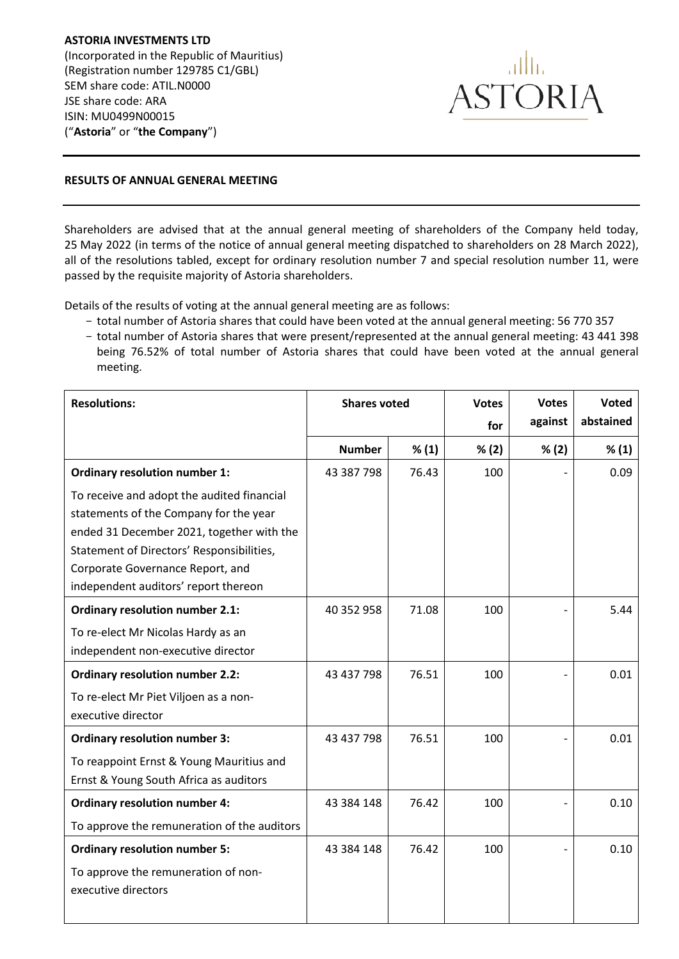**ASTORIA INVESTMENTS LTD** (Incorporated in the Republic of Mauritius) (Registration number 129785 C1/GBL) SEM share code: ATIL.N0000 JSE share code: ARA ISIN: MU0499N00015 ("**Astoria**" or "**the Company**")



## **RESULTS OF ANNUAL GENERAL MEETING**

Shareholders are advised that at the annual general meeting of shareholders of the Company held today, 25 May 2022 (in terms of the notice of annual general meeting dispatched to shareholders on 28 March 2022), all of the resolutions tabled, except for ordinary resolution number 7 and special resolution number 11, were passed by the requisite majority of Astoria shareholders.

Details of the results of voting at the annual general meeting are as follows:

- total number of Astoria shares that could have been voted at the annual general meeting: 56 770 357
- total number of Astoria shares that were present/represented at the annual general meeting: 43 441 398 being 76.52% of total number of Astoria shares that could have been voted at the annual general meeting.

| <b>Resolutions:</b>                         | <b>Shares voted</b> |       | <b>Votes</b> | <b>Votes</b> | Voted     |
|---------------------------------------------|---------------------|-------|--------------|--------------|-----------|
|                                             |                     |       | for          | against      | abstained |
|                                             | <b>Number</b>       | % (1) | % (2)        | % (2)        | % (1)     |
| <b>Ordinary resolution number 1:</b>        | 43 387 798          | 76.43 | 100          |              | 0.09      |
| To receive and adopt the audited financial  |                     |       |              |              |           |
| statements of the Company for the year      |                     |       |              |              |           |
| ended 31 December 2021, together with the   |                     |       |              |              |           |
| Statement of Directors' Responsibilities,   |                     |       |              |              |           |
| Corporate Governance Report, and            |                     |       |              |              |           |
| independent auditors' report thereon        |                     |       |              |              |           |
| <b>Ordinary resolution number 2.1:</b>      | 40 352 958          | 71.08 | 100          |              | 5.44      |
| To re-elect Mr Nicolas Hardy as an          |                     |       |              |              |           |
| independent non-executive director          |                     |       |              |              |           |
| <b>Ordinary resolution number 2.2:</b>      | 43 437 798          | 76.51 | 100          |              | 0.01      |
| To re-elect Mr Piet Viljoen as a non-       |                     |       |              |              |           |
| executive director                          |                     |       |              |              |           |
| <b>Ordinary resolution number 3:</b>        | 43 437 798          | 76.51 | 100          |              | 0.01      |
| To reappoint Ernst & Young Mauritius and    |                     |       |              |              |           |
| Ernst & Young South Africa as auditors      |                     |       |              |              |           |
| <b>Ordinary resolution number 4:</b>        | 43 384 148          | 76.42 | 100          |              | 0.10      |
| To approve the remuneration of the auditors |                     |       |              |              |           |
| <b>Ordinary resolution number 5:</b>        | 43 384 148          | 76.42 | 100          |              | 0.10      |
| To approve the remuneration of non-         |                     |       |              |              |           |
| executive directors                         |                     |       |              |              |           |
|                                             |                     |       |              |              |           |